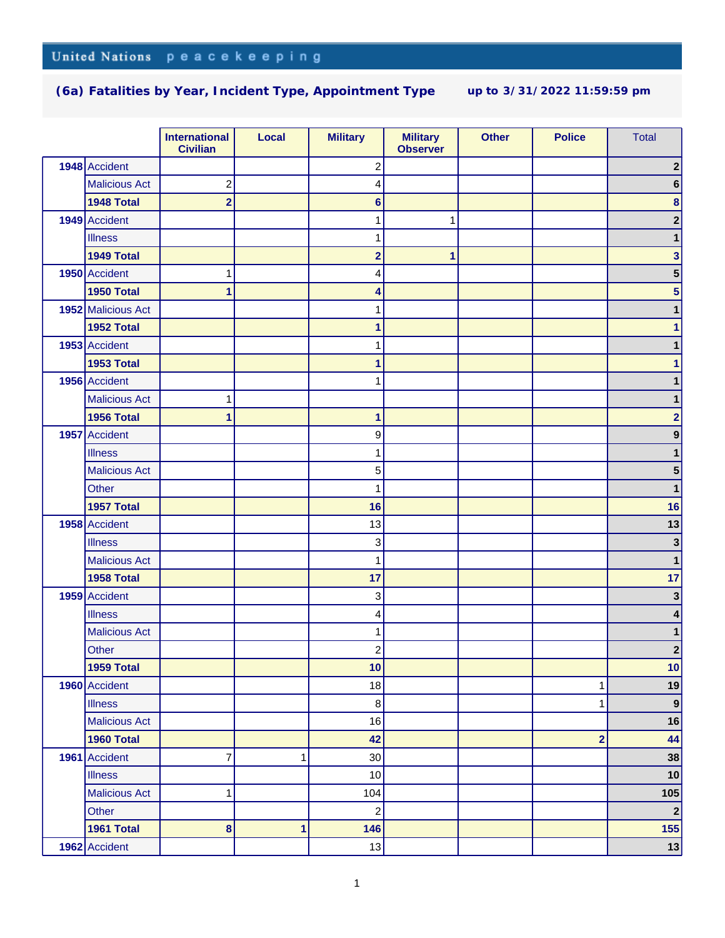|                      | <b>International</b><br><b>Civilian</b> | Local | <b>Military</b>         | <b>Military</b><br><b>Observer</b> | <b>Other</b> | <b>Police</b>           | <b>Total</b>     |
|----------------------|-----------------------------------------|-------|-------------------------|------------------------------------|--------------|-------------------------|------------------|
| 1948 Accident        |                                         |       | $\overline{\mathbf{c}}$ |                                    |              |                         | $\boldsymbol{2}$ |
| <b>Malicious Act</b> | $\overline{c}$                          |       | 4                       |                                    |              |                         | 6                |
| 1948 Total           | $\overline{\mathbf{2}}$                 |       | $6\phantom{1}$          |                                    |              |                         | $\bf8$           |
| 1949 Accident        |                                         |       | 1                       | 1                                  |              |                         | $\overline{2}$   |
| <b>Illness</b>       |                                         |       | 1                       |                                    |              |                         | 1                |
| 1949 Total           |                                         |       | $\overline{\mathbf{2}}$ | 1                                  |              |                         | 3                |
| 1950 Accident        |                                         |       | 4                       |                                    |              |                         | 5                |
| 1950 Total           | 1                                       |       | 4                       |                                    |              |                         | 5                |
| 1952 Malicious Act   |                                         |       | 1                       |                                    |              |                         |                  |
| 1952 Total           |                                         |       | 1                       |                                    |              |                         |                  |
| 1953 Accident        |                                         |       | 1                       |                                    |              |                         |                  |
| 1953 Total           |                                         |       | 1                       |                                    |              |                         |                  |
| 1956 Accident        |                                         |       | 1                       |                                    |              |                         |                  |
| <b>Malicious Act</b> |                                         |       |                         |                                    |              |                         |                  |
| 1956 Total           | 1                                       |       | 1                       |                                    |              |                         | $\overline{2}$   |
| 1957 Accident        |                                         |       | 9                       |                                    |              |                         | 9                |
| <b>Illness</b>       |                                         |       | 1                       |                                    |              |                         | 1                |
| <b>Malicious Act</b> |                                         |       | 5                       |                                    |              |                         | 5                |
| Other                |                                         |       | 1                       |                                    |              |                         | 1                |
| 1957 Total           |                                         |       | 16                      |                                    |              |                         | 16               |
| 1958 Accident        |                                         |       | 13                      |                                    |              |                         | 13               |
| <b>Illness</b>       |                                         |       | 3                       |                                    |              |                         | 3                |
| <b>Malicious Act</b> |                                         |       | 1                       |                                    |              |                         | 1                |
| 1958 Total           |                                         |       | 17                      |                                    |              |                         | 17               |
| 1959 Accident        |                                         |       | 3                       |                                    |              |                         | 3                |
| <b>Illness</b>       |                                         |       | 4                       |                                    |              |                         | 4                |
| <b>Malicious Act</b> |                                         |       | 1                       |                                    |              |                         | 1                |
| Other                |                                         |       | $\overline{\mathbf{c}}$ |                                    |              |                         | $\boldsymbol{2}$ |
| 1959 Total           |                                         |       | 10                      |                                    |              |                         | 10               |
| 1960 Accident        |                                         |       | 18                      |                                    |              | 1                       | 19               |
| <b>Illness</b>       |                                         |       | $\bf 8$                 |                                    |              | 1                       | $\vert 9 \vert$  |
| <b>Malicious Act</b> |                                         |       | 16                      |                                    |              |                         | 16               |
| 1960 Total           |                                         |       | 42                      |                                    |              | $\overline{\mathbf{2}}$ | 44               |
| 1961 Accident        | 7                                       | 1     | 30                      |                                    |              |                         | 38               |
| <b>Illness</b>       |                                         |       | 10                      |                                    |              |                         | 10               |
| <b>Malicious Act</b> | 1                                       |       | 104                     |                                    |              |                         | 105              |
| Other                |                                         |       | $\overline{c}$          |                                    |              |                         | $\mathbf{2}$     |
| 1961 Total           | 8                                       | 1     | 146                     |                                    |              |                         | 155              |
| 1962 Accident        |                                         |       | 13                      |                                    |              |                         | 13               |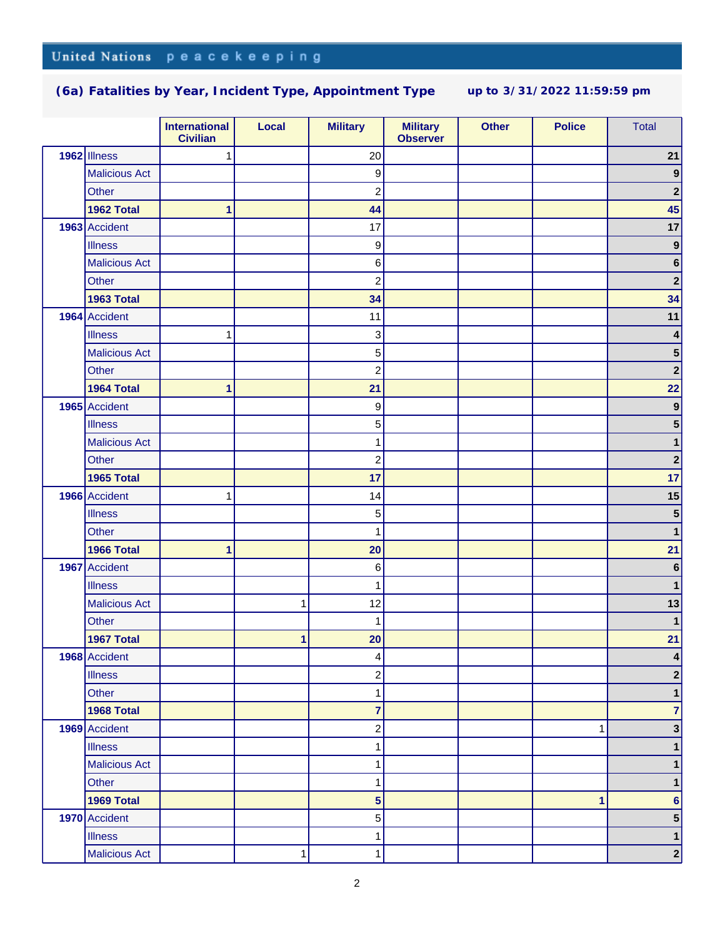|                      | <b>International</b><br><b>Civilian</b> | Local | <b>Military</b> | <b>Military</b><br><b>Observer</b> | <b>Other</b> | <b>Police</b> | <b>Total</b>     |
|----------------------|-----------------------------------------|-------|-----------------|------------------------------------|--------------|---------------|------------------|
| 1962 Illness         | 1                                       |       | 20              |                                    |              |               | 21               |
| <b>Malicious Act</b> |                                         |       | 9               |                                    |              |               | $\boldsymbol{9}$ |
| Other                |                                         |       | $\overline{c}$  |                                    |              |               | $\mathbf 2$      |
| 1962 Total           | 1                                       |       | 44              |                                    |              |               | 45               |
| 1963 Accident        |                                         |       | 17              |                                    |              |               | 17               |
| <b>Illness</b>       |                                         |       | 9               |                                    |              |               | $\boldsymbol{9}$ |
| <b>Malicious Act</b> |                                         |       | 6               |                                    |              |               | $\bf 6$          |
| Other                |                                         |       | $\overline{c}$  |                                    |              |               | $\mathbf 2$      |
| 1963 Total           |                                         |       | 34              |                                    |              |               | 34               |
| 1964 Accident        |                                         |       | 11              |                                    |              |               | $11$             |
| <b>Illness</b>       | 1                                       |       | 3               |                                    |              |               | 4                |
| <b>Malicious Act</b> |                                         |       | 5               |                                    |              |               | ${\bf 5}$        |
| Other                |                                         |       | $\overline{c}$  |                                    |              |               | $\mathbf{2}$     |
| 1964 Total           | 1                                       |       | 21              |                                    |              |               | 22               |
| 1965 Accident        |                                         |       | 9               |                                    |              |               | $\boldsymbol{9}$ |
| <b>Illness</b>       |                                         |       | 5               |                                    |              |               | 5                |
| <b>Malicious Act</b> |                                         |       | 1               |                                    |              |               | 1                |
| Other                |                                         |       | $\overline{c}$  |                                    |              |               | $\mathbf{2}$     |
| 1965 Total           |                                         |       | 17              |                                    |              |               | 17               |
| 1966 Accident        | 1                                       |       | 14              |                                    |              |               | 15               |
| <b>Illness</b>       |                                         |       | 5               |                                    |              |               | ${\bf 5}$        |
| Other                |                                         |       | 1               |                                    |              |               | $\mathbf{1}$     |
| 1966 Total           | 1                                       |       | 20              |                                    |              |               | 21               |
| 1967 Accident        |                                         |       | 6               |                                    |              |               | $\bf 6$          |
| <b>Illness</b>       |                                         |       | 1               |                                    |              |               | 1                |
| <b>Malicious Act</b> |                                         | 1     | 12              |                                    |              |               | 13               |
| Other                |                                         |       | $\mathbf{1}$    |                                    |              |               | $\mathbf{1}$     |
| 1967 Total           |                                         | 1     | 20              |                                    |              |               | 21               |
| 1968 Accident        |                                         |       | 4               |                                    |              |               | 4                |
| <b>Illness</b>       |                                         |       | $\overline{c}$  |                                    |              |               | 2                |
| Other                |                                         |       | $\mathbf{1}$    |                                    |              |               | $\mathbf 1$      |
| 1968 Total           |                                         |       | $\overline{7}$  |                                    |              |               | $\overline{7}$   |
| 1969 Accident        |                                         |       | $\overline{c}$  |                                    |              | $\mathbf{1}$  | $\mathbf{3}$     |
| <b>Illness</b>       |                                         |       | 1               |                                    |              |               | $\mathbf 1$      |
| <b>Malicious Act</b> |                                         |       | 1               |                                    |              |               | 1                |
| Other                |                                         |       | 1               |                                    |              |               | 1                |
| 1969 Total           |                                         |       | 5               |                                    |              | 1             | $6\phantom{a}$   |
| 1970 Accident        |                                         |       | 5               |                                    |              |               | 5                |
| <b>Illness</b>       |                                         |       | 1               |                                    |              |               | $\mathbf 1$      |
| <b>Malicious Act</b> |                                         | 1     | 1               |                                    |              |               | $\mathbf{2}$     |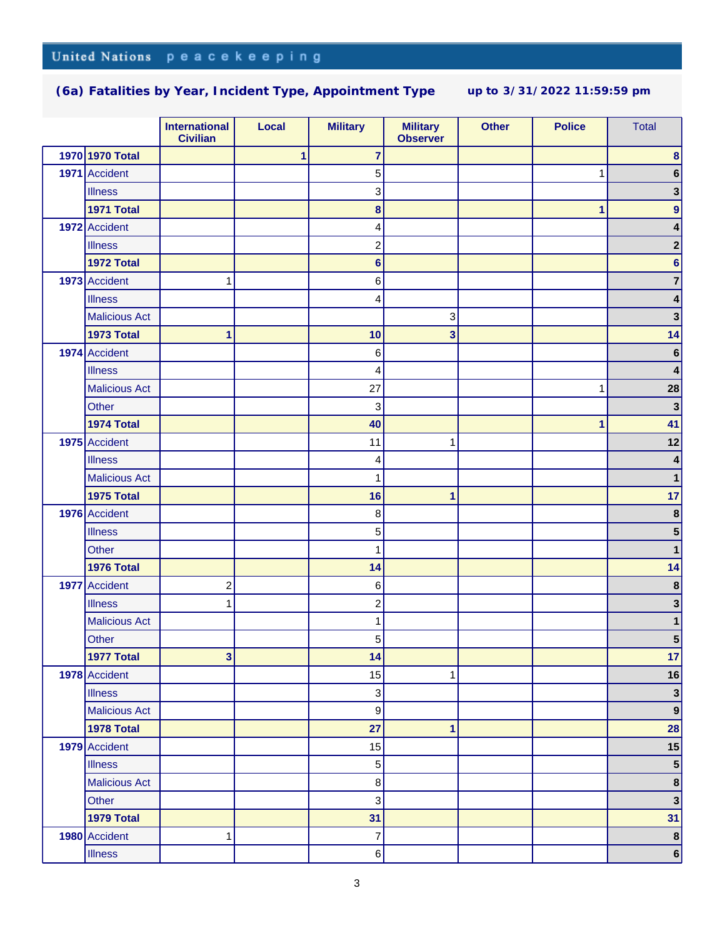|                      | <b>International</b><br><b>Civilian</b> | Local | <b>Military</b>           | <b>Military</b><br><b>Observer</b> | <b>Other</b> | <b>Police</b> | <b>Total</b>             |
|----------------------|-----------------------------------------|-------|---------------------------|------------------------------------|--------------|---------------|--------------------------|
| 1970 1970 Total      |                                         | 1     | $\overline{7}$            |                                    |              |               | 8                        |
| 1971 Accident        |                                         |       | 5                         |                                    |              | 1             | 6                        |
| <b>Illness</b>       |                                         |       | 3                         |                                    |              |               | 3                        |
| <b>1971 Total</b>    |                                         |       | $\bf{8}$                  |                                    |              | 1             | 9                        |
| 1972 Accident        |                                         |       | 4                         |                                    |              |               | 4                        |
| <b>Illness</b>       |                                         |       | $\overline{c}$            |                                    |              |               | 2                        |
| 1972 Total           |                                         |       | $6\phantom{1}6$           |                                    |              |               | 6                        |
| 1973 Accident        | 1                                       |       | 6                         |                                    |              |               | 7                        |
| <b>Illness</b>       |                                         |       | 4                         |                                    |              |               | 4                        |
| <b>Malicious Act</b> |                                         |       |                           | 3                                  |              |               | 3                        |
| <b>1973 Total</b>    | 1                                       |       | 10                        | 3                                  |              |               | 14                       |
| 1974 Accident        |                                         |       | $\,6$                     |                                    |              |               | $\bf 6$                  |
| <b>Illness</b>       |                                         |       | 4                         |                                    |              |               | 4                        |
| <b>Malicious Act</b> |                                         |       | 27                        |                                    |              | 1             | 28                       |
| Other                |                                         |       | 3                         |                                    |              |               | $\overline{\mathbf{3}}$  |
| 1974 Total           |                                         |       | 40                        |                                    |              | 1             | 41                       |
| 1975 Accident        |                                         |       | 11                        | 1                                  |              |               | 12                       |
| <b>Illness</b>       |                                         |       | 4                         |                                    |              |               |                          |
| <b>Malicious Act</b> |                                         |       | 1                         |                                    |              |               |                          |
| <b>1975 Total</b>    |                                         |       | 16                        | 1                                  |              |               | 17                       |
| 1976 Accident        |                                         |       | 8                         |                                    |              |               | 8                        |
| <b>Illness</b>       |                                         |       | 5                         |                                    |              |               | 5                        |
| Other                |                                         |       | 1                         |                                    |              |               |                          |
| 1976 Total           |                                         |       | 14                        |                                    |              |               | 14                       |
| 1977 Accident        | $\overline{\mathbf{c}}$                 |       | 6                         |                                    |              |               | $\pmb{8}$                |
| <b>Illness</b>       | 1                                       |       | $\overline{c}$            |                                    |              |               | 3                        |
| <b>Malicious Act</b> |                                         |       | 1                         |                                    |              |               | 1                        |
| Other                |                                         |       | $\mathbf 5$               |                                    |              |               | 5                        |
| 1977 Total           | 3 <sup>1</sup>                          |       | 14                        |                                    |              |               | 17                       |
| 1978 Accident        |                                         |       | 15                        | 1                                  |              |               | 16                       |
| <b>Illness</b>       |                                         |       | $\sqrt{3}$                |                                    |              |               | $\mathbf{3}$             |
| <b>Malicious Act</b> |                                         |       | $\boldsymbol{9}$          |                                    |              |               | $\boldsymbol{9}$         |
| 1978 Total           |                                         |       | 27                        | 1                                  |              |               | 28                       |
| 1979 Accident        |                                         |       | 15                        |                                    |              |               | 15                       |
| <b>Illness</b>       |                                         |       | $\mathbf 5$               |                                    |              |               | 5 <sup>5</sup>           |
| <b>Malicious Act</b> |                                         |       | $\bf8$                    |                                    |              |               | $\boldsymbol{8}$         |
| Other                |                                         |       | $\ensuremath{\mathsf{3}}$ |                                    |              |               | $\mathbf{3}$             |
| 1979 Total           |                                         |       | 31                        |                                    |              |               | 31                       |
| 1980 Accident        | 1                                       |       | $\overline{7}$            |                                    |              |               | $\pmb{8}$                |
| <b>Illness</b>       |                                         |       | 6                         |                                    |              |               | $\overline{\phantom{a}}$ |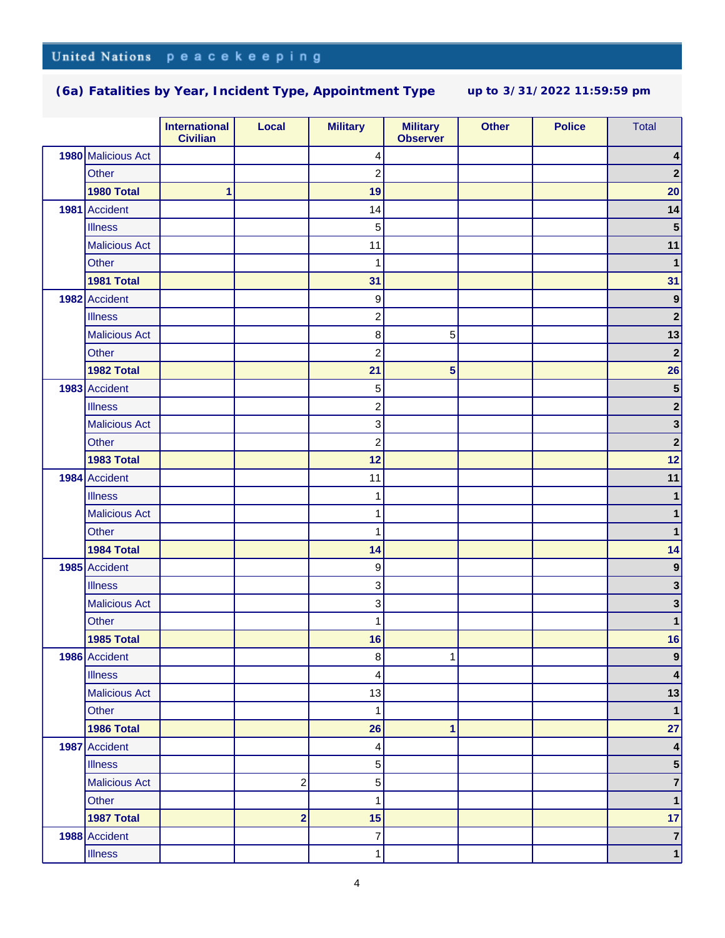|                      | <b>International</b><br><b>Civilian</b> | Local                   | <b>Military</b>  | <b>Military</b><br><b>Observer</b> | <b>Other</b> | <b>Police</b> | <b>Total</b>            |
|----------------------|-----------------------------------------|-------------------------|------------------|------------------------------------|--------------|---------------|-------------------------|
| 1980 Malicious Act   |                                         |                         | 4                |                                    |              |               | 4                       |
| Other                |                                         |                         | $\overline{c}$   |                                    |              |               | $\mathbf 2$             |
| 1980 Total           | 1                                       |                         | 19               |                                    |              |               | 20                      |
| 1981 Accident        |                                         |                         | 14               |                                    |              |               | 14                      |
| <b>Illness</b>       |                                         |                         | 5                |                                    |              |               | ${\bf 5}$               |
| <b>Malicious Act</b> |                                         |                         | 11               |                                    |              |               | 11                      |
| Other                |                                         |                         | 1                |                                    |              |               | $\mathbf{1}$            |
| 1981 Total           |                                         |                         | 31               |                                    |              |               | 31                      |
| 1982 Accident        |                                         |                         | $\boldsymbol{9}$ |                                    |              |               | $\boldsymbol{9}$        |
| <b>Illness</b>       |                                         |                         | $\boldsymbol{2}$ |                                    |              |               | $\mathbf 2$             |
| <b>Malicious Act</b> |                                         |                         | $\,8\,$          | 5                                  |              |               | 13                      |
| Other                |                                         |                         | $\overline{c}$   |                                    |              |               | $\mathbf 2$             |
| 1982 Total           |                                         |                         | 21               | 5                                  |              |               | 26                      |
| 1983 Accident        |                                         |                         | 5                |                                    |              |               | $\overline{\mathbf{5}}$ |
| <b>Illness</b>       |                                         |                         | $\overline{c}$   |                                    |              |               | $\mathbf 2$             |
| <b>Malicious Act</b> |                                         |                         | $\,$ 3 $\,$      |                                    |              |               | $\mathbf{3}$            |
| Other                |                                         |                         | $\overline{c}$   |                                    |              |               | $\mathbf 2$             |
| <b>1983 Total</b>    |                                         |                         | 12               |                                    |              |               | 12                      |
| 1984 Accident        |                                         |                         | 11               |                                    |              |               | 11                      |
| <b>Illness</b>       |                                         |                         | 1                |                                    |              |               | 1                       |
| <b>Malicious Act</b> |                                         |                         | 1                |                                    |              |               | 1                       |
| Other                |                                         |                         | 1                |                                    |              |               | 1                       |
| 1984 Total           |                                         |                         | 14               |                                    |              |               | 14                      |
| 1985 Accident        |                                         |                         | $\boldsymbol{9}$ |                                    |              |               | $\boldsymbol{9}$        |
| <b>Illness</b>       |                                         |                         | $\,$ 3 $\,$      |                                    |              |               | 3                       |
| <b>Malicious Act</b> |                                         |                         | 3                |                                    |              |               | 3                       |
| Other                |                                         |                         | 1                |                                    |              |               | 1                       |
| 1985 Total           |                                         |                         | 16               |                                    |              |               | 16                      |
| 1986 Accident        |                                         |                         | $\boldsymbol{8}$ | 1                                  |              |               | $\vert 9 \vert$         |
| <b>Illness</b>       |                                         |                         | 4                |                                    |              |               | 4                       |
| <b>Malicious Act</b> |                                         |                         | 13               |                                    |              |               | 13                      |
| Other                |                                         |                         | $\mathbf{1}$     |                                    |              |               | $\mathbf{1}$            |
| 1986 Total           |                                         |                         | 26               | $\mathbf{1}$                       |              |               | 27                      |
| 1987 Accident        |                                         |                         | 4                |                                    |              |               | $\pmb{4}$               |
| <b>Illness</b>       |                                         |                         | $\mathbf 5$      |                                    |              |               | 5 <sup>5</sup>          |
| <b>Malicious Act</b> |                                         | $\overline{\mathbf{c}}$ | $\mathbf 5$      |                                    |              |               | $\overline{\mathbf{7}}$ |
| Other                |                                         |                         | 1                |                                    |              |               | $\mathbf{1}$            |
| 1987 Total           |                                         | $\overline{\mathbf{2}}$ | 15               |                                    |              |               | 17                      |
| 1988 Accident        |                                         |                         | $\overline{7}$   |                                    |              |               | $\overline{\mathbf{7}}$ |
| <b>Illness</b>       |                                         |                         | 1                |                                    |              |               | $\mathbf 1$             |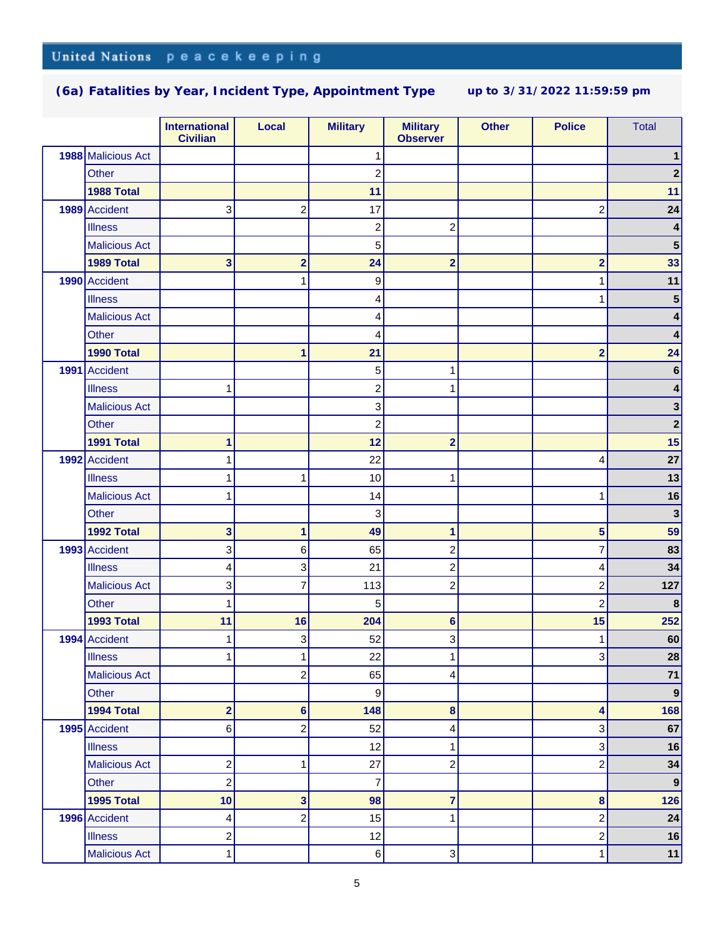|                      | <b>International</b><br><b>Civilian</b> | <b>Local</b>            | <b>Military</b>         | <b>Military</b><br><b>Observer</b> | <b>Other</b> | <b>Police</b>           | <b>Total</b>     |
|----------------------|-----------------------------------------|-------------------------|-------------------------|------------------------------------|--------------|-------------------------|------------------|
| 1988 Malicious Act   |                                         |                         | 1                       |                                    |              |                         |                  |
| Other                |                                         |                         | $\overline{c}$          |                                    |              |                         | 2                |
| 1988 Total           |                                         |                         | 11                      |                                    |              |                         | 11               |
| 1989 Accident        | 3                                       | $\overline{c}$          | 17                      |                                    |              | $\mathbf{2}$            | 24               |
| <b>Illness</b>       |                                         |                         | $\overline{\mathbf{c}}$ | $\overline{\mathbf{c}}$            |              |                         | 4                |
| <b>Malicious Act</b> |                                         |                         | 5                       |                                    |              |                         | $5\phantom{1}$   |
| 1989 Total           | 3                                       | $\overline{\mathbf{2}}$ | 24                      | $\overline{\mathbf{2}}$            |              | $\overline{\mathbf{2}}$ | 33               |
| 1990 Accident        |                                         | 1                       | $\boldsymbol{9}$        |                                    |              | 1                       | 11               |
| <b>Illness</b>       |                                         |                         | 4                       |                                    |              | 1                       | 5                |
| <b>Malicious Act</b> |                                         |                         | 4                       |                                    |              |                         | 4                |
| <b>Other</b>         |                                         |                         | 4                       |                                    |              |                         | 4                |
| 1990 Total           |                                         | 1                       | 21                      |                                    |              | $\overline{\mathbf{2}}$ | 24               |
| 1991 Accident        |                                         |                         | 5                       | 1                                  |              |                         | 6                |
| <b>Illness</b>       | 1                                       |                         | $\overline{c}$          | 1                                  |              |                         | 4                |
| <b>Malicious Act</b> |                                         |                         | 3                       |                                    |              |                         | 3                |
| Other                |                                         |                         | $\overline{c}$          |                                    |              |                         | $\mathbf{2}$     |
| 1991 Total           | 1                                       |                         | 12                      | $\overline{2}$                     |              |                         | 15               |
| 1992 Accident        | 1                                       |                         | 22                      |                                    |              | 4                       | 27               |
| <b>Illness</b>       | 1                                       | 1                       | 10                      | 1                                  |              |                         | 13               |
| <b>Malicious Act</b> | 1                                       |                         | 14                      |                                    |              | 1                       | 16               |
| <b>Other</b>         |                                         |                         | 3                       |                                    |              |                         | $\mathbf{3}$     |
| 1992 Total           | 3                                       | 1                       | 49                      | 1                                  |              | 5                       | 59               |
| 1993 Accident        | 3                                       | 6                       | 65                      | $\overline{c}$                     |              | $\overline{7}$          | 83               |
| <b>Illness</b>       | 4                                       | 3                       | 21                      | $\overline{c}$                     |              | 4                       | 34               |
| <b>Malicious Act</b> | 3                                       | 7                       | 113                     | $\overline{\mathbf{c}}$            |              | $\overline{c}$          | 127              |
| <b>Other</b>         | 1                                       |                         | 5                       |                                    |              | $\overline{c}$          | 8                |
| 1993 Total           | 11                                      | 16                      | 204                     | $6\phantom{a}$                     |              | 15                      | 252              |
| 1994 Accident        | 1                                       | 3                       | 52                      | 3                                  |              | 1                       | 60               |
| <b>Illness</b>       | $\mathbf{1}$                            | 1                       | 22                      | 1                                  |              | 3                       | ${\bf 28}$       |
| <b>Malicious Act</b> |                                         | $\overline{\mathbf{c}}$ | 65                      | 4                                  |              |                         | $71$             |
| Other                |                                         |                         | 9                       |                                    |              |                         | $\boldsymbol{9}$ |
| 1994 Total           | $\overline{\mathbf{2}}$                 | 6                       | 148                     | 8                                  |              | 4                       | 168              |
| 1995 Accident        | 6                                       | $\overline{\mathbf{c}}$ | 52                      | 4                                  |              | 3                       | 67               |
| <b>Illness</b>       |                                         |                         | 12                      | 1                                  |              | $\overline{3}$          | 16               |
| <b>Malicious Act</b> | $\overline{\mathbf{c}}$                 | 1                       | 27                      | $\overline{c}$                     |              | $\mathbf{2}$            | 34               |
| Other                | $\overline{\mathbf{c}}$                 |                         | $\overline{7}$          |                                    |              |                         | $\boldsymbol{9}$ |
| 1995 Total           | 10                                      | 3                       | 98                      | $\overline{\mathbf{7}}$            |              | $\bf8$                  | 126              |
| 1996 Accident        | 4                                       | $\overline{\mathbf{c}}$ | 15                      | 1                                  |              | $\overline{c}$          | 24               |
| <b>Illness</b>       | 2                                       |                         | 12                      |                                    |              | $\boldsymbol{2}$        | 16               |
| <b>Malicious Act</b> | $\mathbf{1}$                            |                         | $6 \mid$                | 3                                  |              | $\mathbf{1}$            | 11               |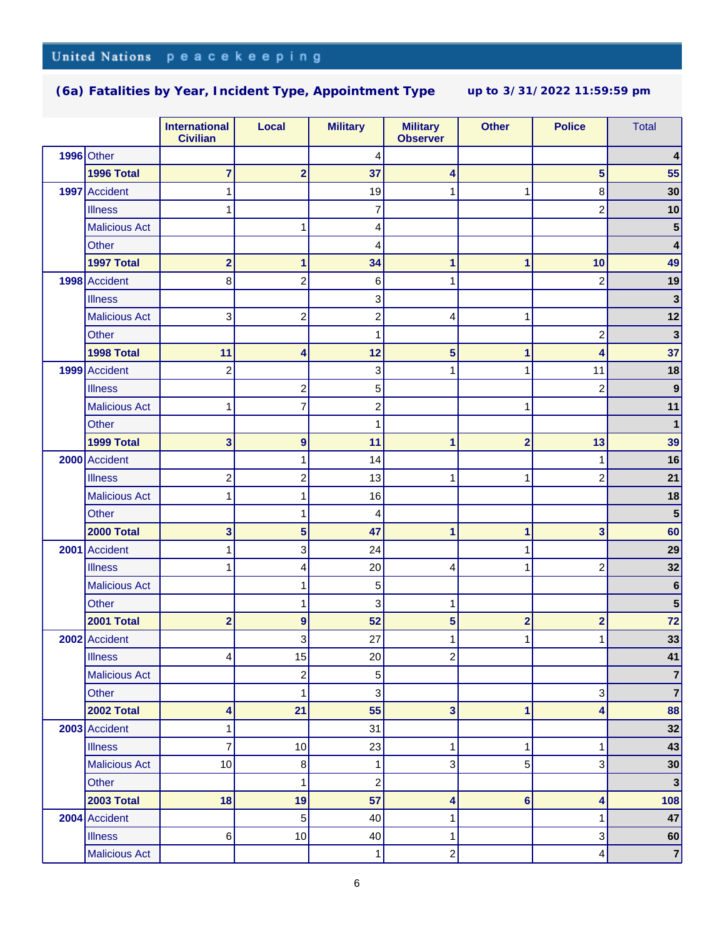|                      | <b>International</b><br><b>Civilian</b> | <b>Local</b>            | <b>Military</b>           | <b>Military</b><br><b>Observer</b> | <b>Other</b>            | <b>Police</b>           | <b>Total</b>            |
|----------------------|-----------------------------------------|-------------------------|---------------------------|------------------------------------|-------------------------|-------------------------|-------------------------|
| 1996 Other           |                                         |                         | 4                         |                                    |                         |                         |                         |
| 1996 Total           | 7                                       | $\overline{\mathbf{2}}$ | 37                        | 4                                  |                         | 5                       | 55                      |
| 1997 Accident        | 1                                       |                         | 19                        | 1                                  | 1                       | 8                       | 30                      |
| <b>Illness</b>       | 1                                       |                         | $\overline{7}$            |                                    |                         | $\overline{c}$          | 10                      |
| <b>Malicious Act</b> |                                         | 1                       | 4                         |                                    |                         |                         | 5                       |
| <b>Other</b>         |                                         |                         | 4                         |                                    |                         |                         |                         |
| 1997 Total           | $\overline{2}$                          | 1                       | 34                        | 1                                  | 1                       | 10                      | 49                      |
| 1998 Accident        | 8                                       | $\overline{c}$          | 6                         | 1                                  |                         | $\overline{c}$          | 19                      |
| <b>Illness</b>       |                                         |                         | 3                         |                                    |                         |                         | $\mathbf{3}$            |
| <b>Malicious Act</b> | 3                                       | $\overline{c}$          | $\overline{\mathbf{c}}$   | 4                                  | 1                       |                         | 12                      |
| <b>Other</b>         |                                         |                         | 1                         |                                    |                         | $\overline{\mathbf{c}}$ | $\mathbf{3}$            |
| 1998 Total           | 11                                      | 4                       | 12                        | 5                                  | 1                       | 4                       | 37                      |
| 1999 Accident        | $\overline{c}$                          |                         | $\ensuremath{\mathsf{3}}$ | 1                                  | 1                       | 11                      | 18                      |
| <b>Illness</b>       |                                         | $\overline{\mathbf{c}}$ | 5                         |                                    |                         | 2                       | 9                       |
| <b>Malicious Act</b> | 1                                       | 7                       | $\overline{c}$            |                                    | 1                       |                         | 11                      |
| Other                |                                         |                         | 1                         |                                    |                         |                         | 1                       |
| 1999 Total           | 3                                       | $\boldsymbol{9}$        | 11                        | 1                                  | $\overline{\mathbf{2}}$ | 13                      | 39                      |
| 2000 Accident        |                                         | 1                       | 14                        |                                    |                         | 1                       | 16                      |
| <b>Illness</b>       | $\overline{\mathbf{c}}$                 | $\overline{\mathbf{c}}$ | 13                        | 1                                  | 1                       | $\overline{c}$          | 21                      |
| <b>Malicious Act</b> |                                         | 1                       | 16                        |                                    |                         |                         | 18                      |
| Other                |                                         | 1                       | 4                         |                                    |                         |                         | 5                       |
| 2000 Total           | 3                                       | 5                       | 47                        | 1                                  | 1                       | 3                       | 60                      |
| 2001 Accident        | 1                                       | 3                       | 24                        |                                    | 1                       |                         | 29                      |
| <b>Illness</b>       |                                         | 4                       | 20                        | 4                                  | 1                       | $\overline{c}$          | 32                      |
| <b>Malicious Act</b> |                                         | 1                       | 5                         |                                    |                         |                         | 6                       |
| <b>Other</b>         |                                         | 1                       | 3                         | 1                                  |                         |                         | 5                       |
| <b>2001 Total</b>    | $\overline{2}$                          | $\boldsymbol{9}$        | 52                        | 5                                  | $\overline{\mathbf{2}}$ | $\overline{\mathbf{2}}$ | 72                      |
| 2002 Accident        |                                         | 3                       | 27                        | 1                                  | 1                       | 1                       | 33                      |
| <b>Illness</b>       | 4                                       | 15                      | 20                        | $\overline{\mathbf{c}}$            |                         |                         | 41                      |
| <b>Malicious Act</b> |                                         | $\boldsymbol{2}$        | 5 <sup>1</sup>            |                                    |                         |                         | 7                       |
| Other                |                                         | 1                       | $\,$ 3 $\,$               |                                    |                         | 3                       | $\overline{\mathbf{7}}$ |
| 2002 Total           | 4                                       | 21                      | 55                        | 3                                  | 1                       | 4                       | 88                      |
| 2003 Accident        | 1                                       |                         | 31                        |                                    |                         |                         | 32                      |
| <b>Illness</b>       | 7                                       | 10                      | 23                        | 1                                  | 1                       | 1                       | 43                      |
| <b>Malicious Act</b> | 10                                      | 8                       | $\mathbf{1}$              | 3                                  | 5                       | 3                       | 30                      |
| Other                |                                         | 1                       | $\boldsymbol{2}$          |                                    |                         |                         | $\mathbf{3}$            |
| <b>2003 Total</b>    | 18                                      | 19                      | 57                        | 4                                  | $6\phantom{1}6$         | 4                       | 108                     |
| 2004 Accident        |                                         | 5                       | 40                        | 1                                  |                         | 1                       | 47                      |
| <b>Illness</b>       | 6                                       | 10                      | 40                        | 1                                  |                         | 3                       | 60                      |
| <b>Malicious Act</b> |                                         |                         | $\mathbf{1}$              | $\overline{\mathbf{c}}$            |                         | 4                       | $\overline{7}$          |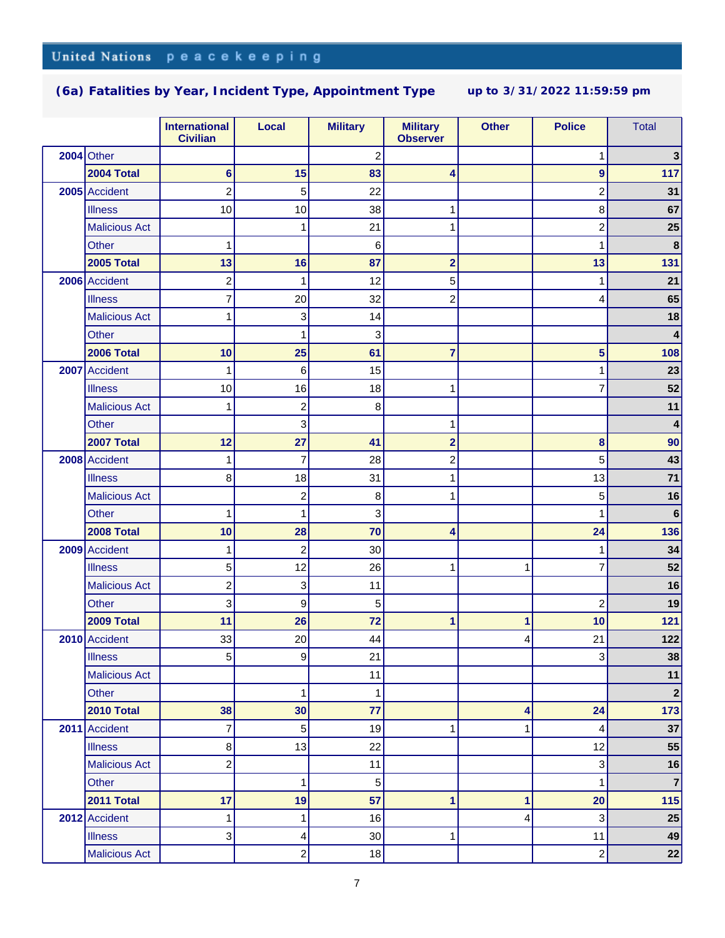|                      | <b>International</b><br><b>Civilian</b> | <b>Local</b>            | <b>Military</b>           | <b>Military</b><br><b>Observer</b> | <b>Other</b> | <b>Police</b>    | <b>Total</b>   |
|----------------------|-----------------------------------------|-------------------------|---------------------------|------------------------------------|--------------|------------------|----------------|
| $2004$ Other         |                                         |                         | $\overline{\mathbf{c}}$   |                                    |              | 1                | 3              |
| <b>2004 Total</b>    | 6                                       | 15                      | 83                        | 4                                  |              | $\boldsymbol{9}$ | 117            |
| 2005 Accident        | 2                                       | 5                       | 22                        |                                    |              | 2                | 31             |
| <b>Illness</b>       | 10                                      | 10                      | 38                        | 1                                  |              | 8                | 67             |
| <b>Malicious Act</b> |                                         | 1                       | 21                        | 1                                  |              | $\overline{c}$   | 25             |
| Other                |                                         |                         | 6                         |                                    |              | 1                | $\bf8$         |
| <b>2005 Total</b>    | 13                                      | 16                      | 87                        | $\overline{\mathbf{2}}$            |              | 13               | 131            |
| 2006 Accident        | $\overline{\mathbf{c}}$                 | 1                       | 12                        | 5                                  |              | 1                | 21             |
| <b>Illness</b>       | 7                                       | 20                      | 32                        | $\overline{\mathbf{c}}$            |              | 4                | 65             |
| <b>Malicious Act</b> | 1                                       | 3                       | 14                        |                                    |              |                  | 18             |
| Other                |                                         | 1                       | 3                         |                                    |              |                  | 4              |
| 2006 Total           | 10                                      | 25                      | 61                        | 7                                  |              | 5                | 108            |
| 2007 Accident        | 1                                       | 6                       | 15                        |                                    |              | 1                | 23             |
| <b>Illness</b>       | 10                                      | 16                      | 18                        | 1                                  |              | 7                | 52             |
| <b>Malicious Act</b> | 1                                       | $\overline{\mathbf{c}}$ | 8                         |                                    |              |                  | 11             |
| Other                |                                         | 3                       |                           | 1                                  |              |                  | 4              |
| 2007 Total           | 12                                      | 27                      | 41                        | $\overline{\mathbf{2}}$            |              | 8                | 90             |
| 2008 Accident        |                                         | $\overline{7}$          | 28                        | 2                                  |              | 5                | 43             |
| <b>Illness</b>       | 8                                       | 18                      | 31                        | 1                                  |              | 13               | 71             |
| <b>Malicious Act</b> |                                         | $\overline{c}$          | 8                         | 1                                  |              | 5                | 16             |
| Other                | 1                                       | 1                       | $\ensuremath{\mathsf{3}}$ |                                    |              | 1                | 6              |
| <b>2008 Total</b>    | 10                                      | 28                      | 70                        | 4                                  |              | 24               | 136            |
| 2009 Accident        | 1                                       | $\overline{c}$          | 30                        |                                    |              | 1                | 34             |
| <b>Illness</b>       | 5                                       | 12                      | 26                        | 1                                  | 1            | 7                | 52             |
| <b>Malicious Act</b> | 2                                       | 3                       | 11                        |                                    |              |                  | 16             |
| Other                | 3                                       | 9                       | 5                         |                                    |              | 2                | 19             |
| 2009 Total           | 11                                      | 26                      | 72                        | 1                                  | 1            | 10               | $121$          |
| 2010 Accident        | 33                                      | 20                      | 44                        |                                    | 4            | 21               | 122            |
| <b>Illness</b>       | 5                                       | 9                       | 21                        |                                    |              | 3                | 38             |
| <b>Malicious Act</b> |                                         |                         | 11                        |                                    |              |                  | 11             |
| Other                |                                         | $\mathbf{1}$            | $\mathbf 1$               |                                    |              |                  | $\mathbf 2$    |
| 2010 Total           | 38                                      | 30                      | 77                        |                                    | 4            | 24               | 173            |
| 2011 Accident        | 7                                       | 5                       | 19                        | 1                                  | 1            | 4                | 37             |
| <b>Illness</b>       | 8                                       | 13                      | 22                        |                                    |              | 12               | 55             |
| <b>Malicious Act</b> | $\overline{\mathbf{c}}$                 |                         | 11                        |                                    |              | 3                | 16             |
| Other                |                                         | 1                       | 5                         |                                    |              | 1                | $\overline{7}$ |
| 2011 Total           | 17                                      | 19                      | 57                        | 1                                  | $\mathbf{1}$ | 20               | 115            |
| 2012 Accident        | 1                                       | 1                       | 16                        |                                    | 4            | 3                | 25             |
| <b>Illness</b>       | 3                                       | 4                       | 30                        | 1                                  |              | 11               | 49             |
| <b>Malicious Act</b> |                                         | $\overline{c}$          | 18                        |                                    |              | $\overline{c}$   | 22             |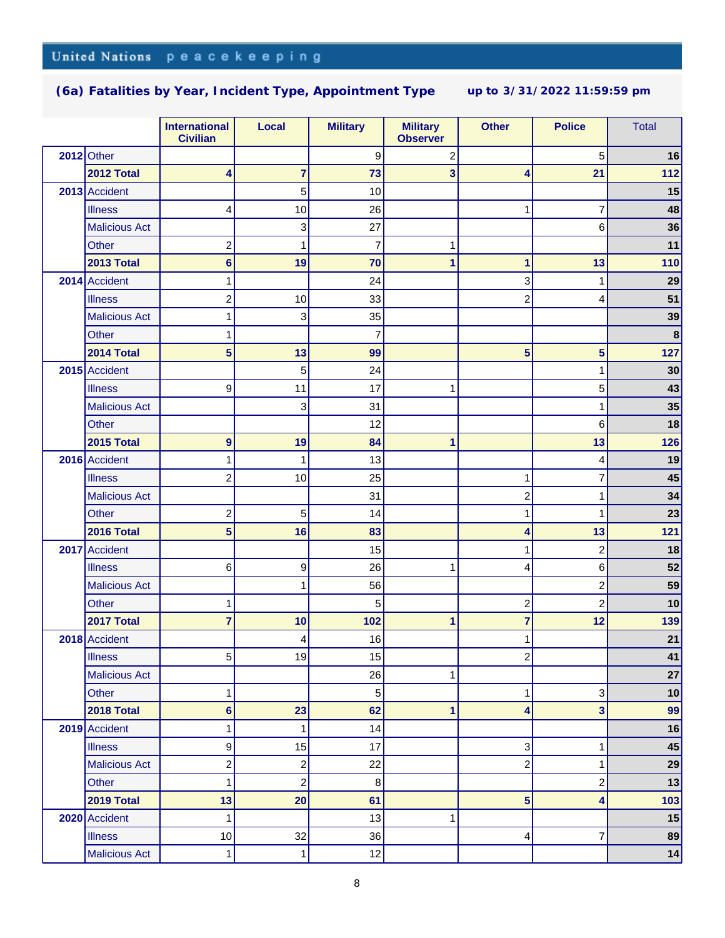|                      | <b>International</b><br><b>Civilian</b> | <b>Local</b>            | <b>Military</b> | <b>Military</b><br><b>Observer</b> | <b>Other</b>            | <b>Police</b>           | <b>Total</b> |
|----------------------|-----------------------------------------|-------------------------|-----------------|------------------------------------|-------------------------|-------------------------|--------------|
| $2012$ Other         |                                         |                         | 9               | 2                                  |                         | 5                       | 16           |
| 2012 Total           | 4                                       | $\overline{7}$          | 73              | 3                                  | 4                       | 21                      | 112          |
| 2013 Accident        |                                         | 5                       | 10              |                                    |                         |                         | 15           |
| <b>Illness</b>       | 4                                       | 10                      | 26              |                                    | 1                       | 7                       | 48           |
| <b>Malicious Act</b> |                                         | 3                       | 27              |                                    |                         | 6                       | 36           |
| Other                | $\overline{\mathbf{c}}$                 | 1                       | 7               | 1                                  |                         |                         | 11           |
| 2013 Total           | 6                                       | 19                      | 70              | 1                                  | 1                       | 13                      | 110          |
| 2014 Accident        |                                         |                         | 24              |                                    | 3                       | 1                       | 29           |
| <b>Illness</b>       | $\overline{\mathbf{c}}$                 | 10                      | 33              |                                    | $\overline{c}$          | 4                       | 51           |
| <b>Malicious Act</b> | 1                                       | 3                       | 35              |                                    |                         |                         | 39           |
| <b>Other</b>         | 1                                       |                         | 7               |                                    |                         |                         | $\bf8$       |
| 2014 Total           | 5                                       | 13                      | 99              |                                    | 5                       | $\overline{\mathbf{5}}$ | 127          |
| 2015 Accident        |                                         | 5                       | 24              |                                    |                         | 1                       | 30           |
| <b>Illness</b>       | 9                                       | 11                      | 17              | 1                                  |                         | 5                       | 43           |
| <b>Malicious Act</b> |                                         | 3                       | 31              |                                    |                         | 1                       | 35           |
| Other                |                                         |                         | 12              |                                    |                         | 6                       | 18           |
| <b>2015 Total</b>    | 9                                       | 19                      | 84              | 1                                  |                         | 13                      | 126          |
| 2016 Accident        |                                         | 1                       | 13              |                                    |                         | 4                       | 19           |
| <b>Illness</b>       | 2                                       | 10                      | 25              |                                    | 1                       | 7                       | 45           |
| <b>Malicious Act</b> |                                         |                         | 31              |                                    | $\overline{c}$          | 1                       | 34           |
| <b>Other</b>         | 2                                       | 5                       | 14              |                                    | 1                       | 1                       | 23           |
| 2016 Total           | 5                                       | 16                      | 83              |                                    | $\overline{\mathbf{4}}$ | 13                      | 121          |
| 2017 Accident        |                                         |                         | 15              |                                    | 1                       | $\overline{c}$          | 18           |
| <b>Illness</b>       | 6                                       | 9                       | 26              | 1                                  | 4                       | 6                       | 52           |
| <b>Malicious Act</b> |                                         | 1                       | 56              |                                    |                         | $\overline{c}$          | 59           |
| <b>Other</b>         | 1                                       |                         | 5               |                                    | $\overline{c}$          | $\overline{c}$          | 10           |
| 2017 Total           | 7                                       | 10                      | 102             | 1                                  | 7                       | 12                      | 139          |
| 2018 Accident        |                                         | 4                       | 16              |                                    | 1                       |                         | 21           |
| <b>Illness</b>       | 5                                       | 19                      | 15              |                                    | $\boldsymbol{2}$        |                         | 41           |
| <b>Malicious Act</b> |                                         |                         | 26              | 1                                  |                         |                         | 27           |
| Other                | 1                                       |                         | 5               |                                    | 1                       | 3                       | 10           |
| 2018 Total           | $6\phantom{a}$                          | 23                      | 62              | 1                                  | 4                       | 3                       | 99           |
| 2019 Accident        | 1                                       | 1                       | 14              |                                    |                         |                         | 16           |
| <b>Illness</b>       | 9                                       | 15                      | 17              |                                    | 3                       | 1                       | 45           |
| <b>Malicious Act</b> | $\overline{\mathbf{c}}$                 | $\overline{\mathbf{c}}$ | 22              |                                    | $\overline{c}$          | 1                       | 29           |
| Other                | 1                                       | $\overline{c}$          | 8               |                                    |                         | $\overline{c}$          | 13           |
| 2019 Total           | 13                                      | 20                      | 61              |                                    | 5                       | 4                       | 103          |
| 2020 Accident        | 1                                       |                         | 13              | 1                                  |                         |                         | 15           |
| <b>Illness</b>       | 10                                      | 32                      | 36              |                                    | 4                       | 7                       | 89           |
| <b>Malicious Act</b> | 1                                       | 1                       | 12              |                                    |                         |                         | 14           |